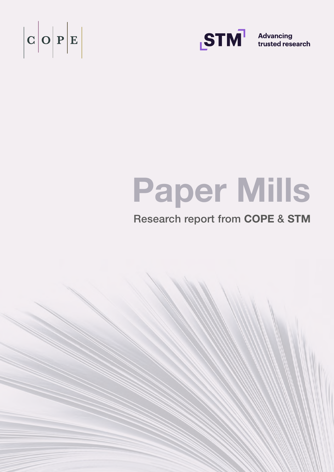



**Advancing** trusted research

# Paper Mills

## Research report from COPE & STM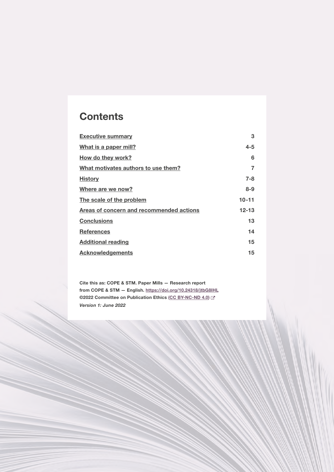## **Contents**

| 3         |
|-----------|
| $4 - 5$   |
| 6         |
| 7         |
| $7 - 8$   |
| $8 - 9$   |
| $10 - 11$ |
| $12 - 13$ |
| 13        |
| 14        |
| 15        |
| 15        |
|           |

Cite this as: COPE & STM. Paper Mills — Research report from COPE & STM — English. <https://doi.org/10.24318/jtbG8IHL> ©2022 Committee on Publication Ethics [\(CC BY-NC-ND 4.0](https://creativecommons.org/licenses/by-nc-nd/4.0/)) & *Version 1: June 2022*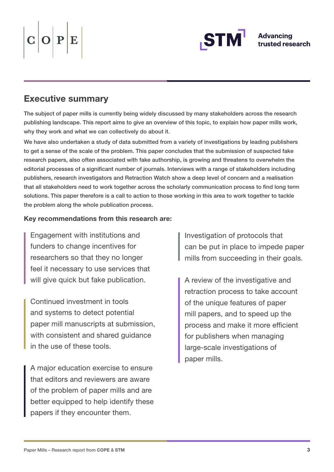# <span id="page-2-0"></span> $O|P|E$



## Executive summary

The subject of paper mills is currently being widely discussed by many stakeholders across the research publishing landscape. This report aims to give an overview of this topic, to explain how paper mills work, why they work and what we can collectively do about it.

We have also undertaken a study of data submitted from a variety of investigations by leading publishers to get a sense of the scale of the problem. This paper concludes that the submission of suspected fake research papers, also often associated with fake authorship, is growing and threatens to overwhelm the editorial processes of a significant number of journals. Interviews with a range of stakeholders including publishers, research investigators and Retraction Watch show a deep level of concern and a realisation that all stakeholders need to work together across the scholarly communication process to find long term solutions. This paper therefore is a call to action to those working in this area to work together to tackle the problem along the whole publication process.

#### Key recommendations from this research are:

Engagement with institutions and funders to change incentives for researchers so that they no longer feel it necessary to use services that will give quick but fake publication.

Continued investment in tools and systems to detect potential paper mill manuscripts at submission, with consistent and shared guidance in the use of these tools.

A major education exercise to ensure that editors and reviewers are aware of the problem of paper mills and are better equipped to help identify these papers if they encounter them.

Investigation of protocols that can be put in place to impede paper mills from succeeding in their goals.

A review of the investigative and retraction process to take account of the unique features of paper mill papers, and to speed up the process and make it more efficient for publishers when managing large-scale investigations of paper mills.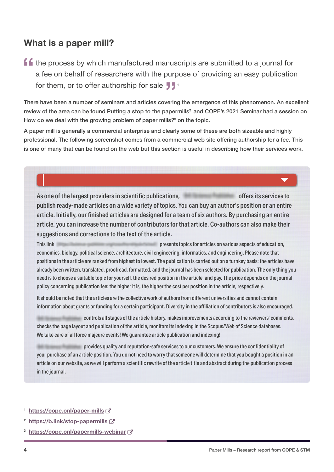### <span id="page-3-0"></span>What is a paper mill?

f f the process by which manufactured manuscripts are submitted to a journal for a fee on behalf of researchers with the purpose of providing an easy publication for them, or to offer authorship for sale  $\frac{1}{2}$ .

There have been a number of seminars and articles covering the emergence of this phenomenon. An excellent review of the area can be found Putting a stop to the papermills<sup>2</sup> and COPE's 2021 Seminar had a session on How do we deal with the growing problem of paper mills?<sup>3</sup> on the topic.

A paper mill is generally a commercial enterprise and clearly some of these are both sizeable and highly professional. The following screenshot comes from a commercial web site offering authorship for a fee. This is one of many that can be found on the web but this section is useful in describing how their services work.

As one of the largest providers in scientific publications, example the services to offers its services to publish ready-made articles on a wide variety of topics. You can buy an author's position or an entire article. Initially, our finished articles are designed for a team of six authors. By purchasing an entire article, you can increase the number of contributors for that article. Co-authors can also make their suggestions and corrections to the text of the article.

This link presents topics for articles on various aspects of education, economics, biology, political science, architecture, civil engineering, informatics, and engineering. Please note that positions in the article are ranked from highest to lowest. The publication is carried out on a turnkey basis: the articles have already been written, translated, proofread, formatted, and the journal has been selected for publication. The only thing you need is to choose a suitable topic for yourself, the desired position in the article, and pay. The price depends on the journal policy concerning publication fee: the higher it is, the higher the cost per position in the article, respectively.

It should be noted that the articles are the collective work of authors from different universities and cannot contain information about grants or funding for a certain participant. Diversity in the affiliation of contributors is also encouraged.

 controls all stages of the article history, makes improvements according to the reviewers' comments, checks the page layout and publication of the article, monitors its indexing in the Scopus/Web of Science databases. We take care of all force majeure events! We guarantee article publication and indexing!

 provides quality and reputation-safe services to our customers. We ensure the confidentiality of your purchase of an article position. You do not need to worry that someone will determine that you bought a position in an article on our website, as we will perform a scientific rewrite of the article title and abstract during the publication process in the journal.

- 1 <https://cope.onl/paper-mills>
- 2 <https://b.link/stop-papermills>
- 3 <https://cope.onl/papermills-webinar>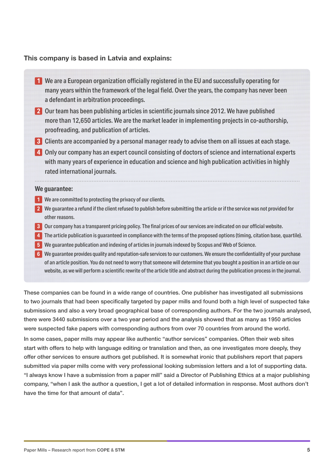#### This company is based in Latvia and explains:

- **1** We are a European organization officially registered in the EU and successfully operating for many years within the framework of the legal field. Over the years, the company has never been a defendant in arbitration proceedings.
- **2** Our team has been publishing articles in scientific journals since 2012. We have published more than 12,650 articles. We are the market leader in implementing projects in co-authorship, proofreading, and publication of articles.
- **3** Clients are accompanied by a personal manager ready to advise them on all issues at each stage.
- **4** Only our company has an expert council consisting of doctors of science and international experts with many years of experience in education and science and high publication activities in highly rated international journals.

#### **We guarantee:**

- **1** We are committed to protecting the privacy of our clients.
- **2** We guarantee a refund if the client refused to publish before submitting the article or if the service was not provided for other reasons.
- **3** Our company has a transparent pricing policy. The final prices of our services are indicated on our official website.
- **4** The article publication is guaranteed in compliance with the terms of the proposed options (timing, citation base, quartile).
- **5** We guarantee publication and indexing of articles in journals indexed by Scopus and Web of Science.
- **6** We guarantee provides quality and reputation-safe services to our customers. We ensure the confidentiality of your purchase of an article position. You do not need to worry that someone will determine that you bought a position in an article on our website, as we will perform a scientific rewrite of the article title and abstract during the publication process in the journal.

These companies can be found in a wide range of countries. One publisher has investigated all submissions to two journals that had been specifically targeted by paper mills and found both a high level of suspected fake submissions and also a very broad geographical base of corresponding authors. For the two journals analysed, there were 3440 submissions over a two year period and the analysis showed that as many as 1950 articles were suspected fake papers with corresponding authors from over 70 countries from around the world.

In some cases, paper mills may appear like authentic "author services" companies. Often their web sites start with offers to help with language editing or translation and then, as one investigates more deeply, they offer other services to ensure authors get published. It is somewhat ironic that publishers report that papers submitted via paper mills come with very professional looking submission letters and a lot of supporting data. "I always know I have a submission from a paper mill" said a Director of Publishing Ethics at a major publishing company, "when I ask the author a question, I get a lot of detailed information in response. Most authors don't have the time for that amount of data".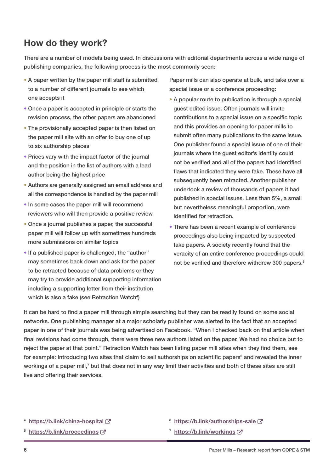## <span id="page-5-0"></span>How do they work?

There are a number of models being used. In discussions with editorial departments across a wide range of publishing companies, the following process is the most commonly seen:

- A paper written by the paper mill staff is submitted to a number of different journals to see which one accepts it
- Once a paper is accepted in principle or starts the revision process, the other papers are abandoned
- The provisionally accepted paper is then listed on the paper mill site with an offer to buy one of up to six authorship places
- Prices vary with the impact factor of the journal and the position in the list of authors with a lead author being the highest price
- Authors are generally assigned an email address and all the correspondence is handled by the paper mill
- In some cases the paper mill will recommend reviewers who will then provide a positive review
- Once a journal publishes a paper, the successful paper mill will follow up with sometimes hundreds more submissions on similar topics
- If a published paper is challenged, the "author" may sometimes back down and ask for the paper to be retracted because of data problems or they may try to provide additional supporting information including a supporting letter from their institution which is also a fake (see Retraction Watch<sup>4</sup>)

Paper mills can also operate at bulk, and take over a special issue or a conference proceeding:

- A popular route to publication is through a special guest edited issue. Often journals will invite contributions to a special issue on a specific topic and this provides an opening for paper mills to submit often many publications to the same issue. One publisher found a special issue of one of their journals where the guest editor's identity could not be verified and all of the papers had identified flaws that indicated they were fake. These have all subsequently been retracted. Another publisher undertook a review of thousands of papers it had published in special issues. Less than 5%, a small but nevertheless meaningful proportion, were identified for retraction.
- There has been a recent example of conference proceedings also being impacted by suspected fake papers. A society recently found that the veracity of an entire conference proceedings could not be verified and therefore withdrew 300 papers.<sup>5</sup>

It can be hard to find a paper mill through simple searching but they can be readily found on some social networks. One publishing manager at a major scholarly publisher was alerted to the fact that an accepted paper in one of their journals was being advertised on Facebook. "When I checked back on that article when final revisions had come through, there were three new authors listed on the paper. We had no choice but to reject the paper at that point." Retraction Watch has been listing paper mill sites when they find them, see for example: Introducing two sites that claim to sell authorships on scientific papers<sup>6</sup> and revealed the inner workings of a paper mill,<sup>7</sup> but that does not in any way limit their activities and both of these sites are still live and offering their services.

- 4 <https://b.link/china-hospital>
- 5 <https://b.link/proceedings>
- 6 <https://b.link/authorships-sale>
- 7 <https://b.link/workings>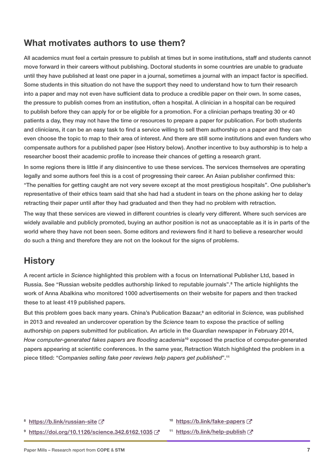#### <span id="page-6-0"></span>What motivates authors to use them?

All academics must feel a certain pressure to publish at times but in some institutions, staff and students cannot move forward in their careers without publishing. Doctoral students in some countries are unable to graduate until they have published at least one paper in a journal, sometimes a journal with an impact factor is specified. Some students in this situation do not have the support they need to understand how to turn their research into a paper and may not even have sufficient data to produce a credible paper on their own. In some cases, the pressure to publish comes from an institution, often a hospital. A clinician in a hospital can be required to publish before they can apply for or be eligible for a promotion. For a clinician perhaps treating 30 or 40 patients a day, they may not have the time or resources to prepare a paper for publication. For both students and clinicians, it can be an easy task to find a service willing to sell them authorship on a paper and they can even choose the topic to map to their area of interest. And there are still some institutions and even funders who compensate authors for a published paper (see History below). Another incentive to buy authorship is to help a researcher boost their academic profile to increase their chances of getting a research grant.

In some regions there is little if any disincentive to use these services. The services themselves are operating legally and some authors feel this is a cost of progressing their career. An Asian publisher confirmed this: "The penalties for getting caught are not very severe except at the most prestigious hospitals". One publisher's representative of their ethics team said that she had had a student in tears on the phone asking her to delay retracting their paper until after they had graduated and then they had no problem with retraction.

The way that these services are viewed in different countries is clearly very different. Where such services are widely available and publicly promoted, buying an author position is not as unacceptable as it is in parts of the world where they have not been seen. Some editors and reviewers find it hard to believe a researcher would do such a thing and therefore they are not on the lookout for the signs of problems.

#### **History**

A recent article in *Science* highlighted this problem with a focus on International Publisher Ltd, based in Russia. See "Russian website peddles authorship linked to reputable journals".<sup>8</sup> The article highlights the work of Anna Abalkina who monitored 1000 advertisements on their website for papers and then tracked these to at least 419 published papers.

But this problem goes back many years. China's Publication Bazaar,<sup>9</sup> an editorial in *Science*, was published in 2013 and revealed an undercover operation by the *Science* team to expose the practice of selling authorship on papers submitted for publication. An article in the *Guardian* newspaper in February 2014, *How computer-generated fakes papers are flooding academia*10 exposed the practice of computer-generated papers appearing at scientific conferences. In the same year, Retraction Watch highlighted the problem in a piece titled: "*Companies selling fake peer reviews help papers get published*".<sup>11</sup>

- <sup>8</sup> <https://b.link/russian-site>
- 9 <https://doi.org/10.1126/science.342.6162.1035>
- 10 <https://b.link/fake-papers>
- <sup>11</sup> <https://b.link/help-publish>[7]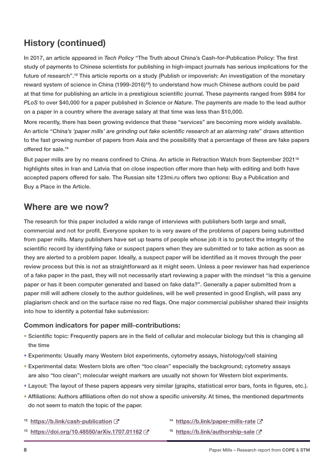## <span id="page-7-0"></span>History (continued)

In 2017, an article appeared in *Tech Policy* "The Truth about China's Cash-for-Publication Policy: The first study of payments to Chinese scientists for publishing in high-impact journals has serious implications for the future of research".12 This article reports on a study (Publish or impoverish: An investigation of the monetary reward system of science in China (1999-2016)<sup>13</sup>) to understand how much Chinese authors could be paid at that time for publishing an article in a prestigious scientific journal. These payments ranged from \$984 for *PLoS* to over \$40,000 for a paper published in *Science* or *Nature*. The payments are made to the lead author on a paper in a country where the average salary at that time was less than \$10,000.

More recently, there has been growing evidence that these "services" are becoming more widely available. An article "*China's 'paper mills' are grinding out fake scientific research at an alarming rate*" draws attention to the fast growing number of papers from Asia and the possibility that a percentage of these are fake papers offered for sale.<sup>14</sup>

But paper mills are by no means confined to China. An article in Retraction Watch from September 2021<sup>15</sup> highlights sites in Iran and Latvia that on close inspection offer more than help with editing and both have accepted papers offered for sale. The Russian site 123mi.ru offers two options: Buy a Publication and Buy a Place in the Article.

#### Where are we now?

The research for this paper included a wide range of interviews with publishers both large and small, commercial and not for profit. Everyone spoken to is very aware of the problems of papers being submitted from paper mills. Many publishers have set up teams of people whose job it is to protect the integrity of the scientific record by identifying fake or suspect papers when they are submitted or to take action as soon as they are alerted to a problem paper. Ideally, a suspect paper will be identified as it moves through the peer review process but this is not as straightforward as it might seem. Unless a peer reviewer has had experience of a fake paper in the past, they will not necessarily start reviewing a paper with the mindset "is this a genuine paper or has it been computer generated and based on fake data?". Generally a paper submitted from a paper mill will adhere closely to the author guidelines, will be well presented in good English, will pass any plagiarism check and on the surface raise no red flags. One major commercial publisher shared their insights into how to identify a potential fake submission:

#### Common indicators for paper mill-contributions:

- Scientific topic: Frequently papers are in the field of cellular and molecular biology but this is changing all the time
- Experiments: Usually many Western blot experiments, cytometry assays, histology/cell staining
- Experimental data: Western blots are often "too clean" especially the background; cytometry assays are also "too clean"; molecular weight markers are usually not shown for Western blot experiments.
- Layout: The layout of these papers appears very similar (graphs, statistical error bars, fonts in figures, etc.).
- Affiliations: Authors affiliations often do not show a specific university. At times, the mentioned departments do not seem to match the topic of the paper.
- <sup>12</sup> <https://b.link/cash-publication>
- 13 <https://doi.org/10.48550/arXiv.1707.01162>
- <sup>14</sup> <https://b.link/paper-mills-rate> [가
- 15 <https://b.link/authorship-sale>  $\mathbb{Z}^n$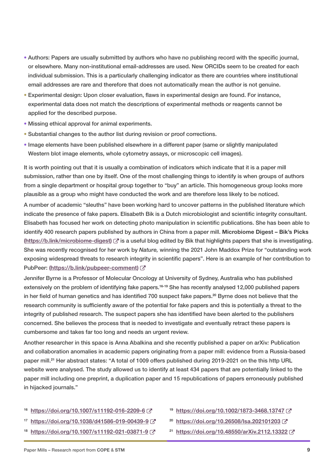- Authors: Papers are usually submitted by authors who have no publishing record with the specific journal, or elsewhere. Many non-institutional email-addresses are used. New ORCIDs seem to be created for each individual submission. This is a particularly challenging indicator as there are countries where institutional email addresses are rare and therefore that does not automatically mean the author is not genuine.
- Experimental design: Upon closer evaluation, flaws in experimental design are found. For instance, experimental data does not match the descriptions of experimental methods or reagents cannot be applied for the described purpose.
- Missing ethical approval for animal experiments.
- Substantial changes to the author list during revision or proof corrections.
- Image elements have been published elsewhere in a different paper (same or slightly manipulated Western blot image elements, whole cytometry assays, or microscopic cell images).

It is worth pointing out that it is usually a combination of indicators which indicate that it is a paper mill submission, rather than one by itself. One of the most challenging things to identify is when groups of authors from a single department or hospital group together to "buy" an article. This homogeneous group looks more plausible as a group who might have conducted the work and are therefore less likely to be noticed.

A number of academic "sleuths" have been working hard to uncover patterns in the published literature which indicate the presence of fake papers. Elisabeth Bik is a Dutch microbiologist and scientific integrity consultant. Elisabeth has focused her work on detecting photo manipulation in scientific publications. She has been able to identify 400 research papers published by authors in China from a paper mill. Microbiome Digest – Bik's Picks [\(https://b.link/microbiome-digest\)](https://b.link/microbiome-digest)  $\mathbb{Z}$  is a useful blog edited by Bik that highlights papers that she is investigating. She was recently recognised for her work by *Nature,* winning the 2021 John Maddox Prize for "outstanding work exposing widespread threats to research integrity in scientific papers". Here is an example of her contribution to PubPeer: [\(https://b.link/pubpeer-comment](https://b.link/pubpeer-comment))  $C^*$ 

Jennifer Byrne is a Professor of Molecular Oncology at University of Sydney, Australia who has published extensively on the problem of identifying fake papers.<sup>16-19</sup> She has recently analysed 12,000 published papers in her field of human genetics and has identified 700 suspect fake papers.<sup>20</sup> Byrne does not believe that the research community is sufficiently aware of the potential for fake papers and this is potentially a threat to the integrity of published research. The suspect papers she has identified have been alerted to the publishers concerned. She believes the process that is needed to investigate and eventually retract these papers is cumbersome and takes far too long and needs an urgent review.

Another researcher in this space is Anna Abalkina and she recently published a paper on arXiv*:* Publication and collaboration anomalies in academic papers originating from a paper mill: evidence from a Russia-based paper mill.21 Her abstract states: "A total of 1009 offers published during 2019-2021 on the this http URL website were analysed. The study allowed us to identify at least 434 papers that are potentially linked to the paper mill including one preprint, a duplication paper and 15 republications of papers erroneously published in hijacked journals."

#### 16 <https://doi.org/10.1007/s11192-016-2209-6>

- 17 <https://doi.org/10.1038/d41586-019-00439-9>
- <sup>18</sup> <https://doi.org/10.1007/s11192-021-03871-9>
- 19 <https://doi.org/10.1002/1873-3468.13747>
- <sup>20</sup> <https://doi.org/10.26508/lsa.202101203>
- <sup>21</sup> <https://doi.org/10.48550/arXiv.2112.13322>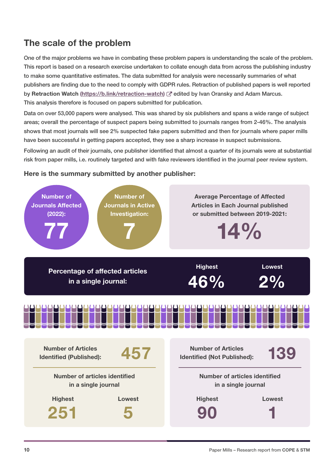## <span id="page-9-0"></span>The scale of the problem

One of the major problems we have in combating these problem papers is understanding the scale of the problem. This report is based on a research exercise undertaken to collate enough data from across the publishing industry to make some quantitative estimates. The data submitted for analysis were necessarily summaries of what publishers are finding due to the need to comply with GDPR rules. Retraction of published papers is well reported by Retraction Watch (<https://b.link/retraction-watch>)  $C^*$  edited by Ivan Oransky and Adam Marcus. This analysis therefore is focused on papers submitted for publication.

Data on over 53,000 papers were analysed. This was shared by six publishers and spans a wide range of subject areas; overall the percentage of suspect papers being submitted to journals ranges from 2-46%. The analysis shows that most journals will see 2% suspected fake papers submitted and then for journals where paper mills have been successful in getting papers accepted, they see a sharp increase in suspect submissions.

Following an audit of their journals, one publisher identified that almost a quarter of its journals were at substantial risk from paper mills, i.e. routinely targeted and with fake reviewers identified in the journal peer review system.

#### Here is the summary submitted by another publisher:

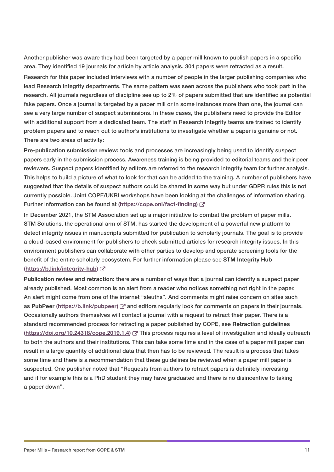Another publisher was aware they had been targeted by a paper mill known to publish papers in a specific area. They identified 19 journals for article by article analysis. 304 papers were retracted as a result. Research for this paper included interviews with a number of people in the larger publishing companies who lead Research Integrity departments. The same pattern was seen across the publishers who took part in the research. All journals regardless of discipline see up to 2% of papers submitted that are identified as potential fake papers. Once a journal is targeted by a paper mill or in some instances more than one, the journal can see a very large number of suspect submissions. In these cases, the publishers need to provide the Editor with additional support from a dedicated team. The staff in Research Integrity teams are trained to identify problem papers and to reach out to author's institutions to investigate whether a paper is genuine or not. There are two areas of activity:

Pre-publication submission review: tools and processes are increasingly being used to identify suspect papers early in the submission process. Awareness training is being provided to editorial teams and their peer reviewers. Suspect papers identified by editors are referred to the research integrity team for further analysis. This helps to build a picture of what to look for that can be added to the training. A number of publishers have suggested that the details of suspect authors could be shared in some way but under GDPR rules this is not currently possible. Joint COPE/UKRI workshops have been looking at the challenges of information sharing. Further information can be found at ([https://cope.onl/fact-finding\)](https://cope.onl/fact-finding) [7]

In December 2021, the STM Association set up a major initiative to combat the problem of paper mills. STM Solutions, the operational arm of STM, has started the development of a powerful new platform to detect integrity issues in manuscripts submitted for publication to scholarly journals. The goal is to provide a cloud-based environment for publishers to check submitted articles for research integrity issues. In this environment publishers can collaborate with other parties to develop and operate screening tools for the benefit of the entire scholarly ecosystem. For further information please see STM Integrity Hub (<https://b.link/integrity-hub>) ~

Publication review and retraction: there are a number of ways that a journal can identify a suspect paper already published. Most common is an alert from a reader who notices something not right in the paper. An alert might come from one of the internet "sleuths". And comments might raise concern on sites such as PubPeer [\(https://b.link/pubpeer\)](https://b.link/pubpeer)  $\mathbb{Z}^n$  and editors regularly look for comments on papers in their journals. Occasionally authors themselves will contact a journal with a request to retract their paper. There is a standard recommended process for retracting a paper published by COPE, see Retraction guidelines (<https://doi.org/10.24318/cope.2019.1.4>) This process requires a level of investigation and ideally outreach to both the authors and their institutions. This can take some time and in the case of a paper mill paper can result in a large quantity of additional data that then has to be reviewed. The result is a process that takes some time and there is a recommendation that these guidelines be reviewed when a paper mill paper is suspected. One publisher noted that "Requests from authors to retract papers is definitely increasing and if for example this is a PhD student they may have graduated and there is no disincentive to taking a paper down".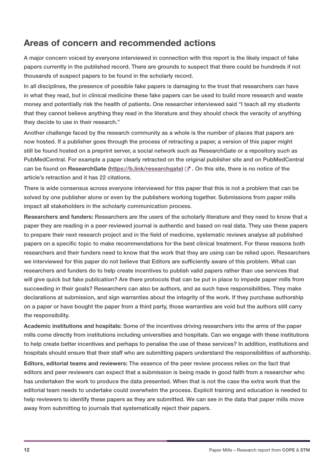#### <span id="page-11-0"></span>Areas of concern and recommended actions

A major concern voiced by everyone interviewed in connection with this report is the likely impact of fake papers currently in the published record. There are grounds to suspect that there could be hundreds if not thousands of suspect papers to be found in the scholarly record.

In all disciplines, the presence of possible fake papers is damaging to the trust that researchers can have in what they read, but in clinical medicine these fake papers can be used to build more research and waste money and potentially risk the health of patients. One researcher interviewed said "I teach all my students that they cannot believe anything they read in the literature and they should check the veracity of anything they decide to use in their research."

Another challenge faced by the research community as a whole is the number of places that papers are now hosted. If a publisher goes through the process of retracting a paper, a version of this paper might still be found hosted on a preprint server, a social network such as ResearchGate or a repository such as PubMedCentral. For example a paper clearly retracted on the original publisher site and on PubMedCentral can be found on ResearchGate ([https://b.link/researchgate\)](https://b.link/researchgate)  $\mathbb{C}^n$ . On this site, there is no notice of the article's retraction and it has 22 citations.

There is wide consensus across everyone interviewed for this paper that this is not a problem that can be solved by one publisher alone or even by the publishers working together. Submissions from paper mills impact all stakeholders in the scholarly communication process.

Researchers and funders: Researchers are the users of the scholarly literature and they need to know that a paper they are reading in a peer reviewed journal is authentic and based on real data. They use these papers to prepare their next research project and in the field of medicine, systematic reviews analyse all published papers on a specific topic to make recommendations for the best clinical treatment. For these reasons both researchers and their funders need to know that the work that they are using can be relied upon. Researchers we interviewed for this paper do not believe that Editors are sufficiently aware of this problem. What can researchers and funders do to help create incentives to publish valid papers rather than use services that will give quick but fake publication? Are there protocols that can be put in place to impede paper mills from succeeding in their goals? Researchers can also be authors, and as such have responsibilities. They make declarations at submission, and sign warranties about the integrity of the work. If they purchase authorship on a paper or have bought the paper from a third party, those warranties are void but the authors still carry the responsibility.

Academic institutions and hospitals: Some of the incentives driving researchers into the arms of the paper mills come directly from institutions including universities and hospitals. Can we engage with these institutions to help create better incentives and perhaps to penalise the use of these services? In addition, institutions and hospitals should ensure that their staff who are submitting papers understand the responsibilities of authorship.

Editors, editorial teams and reviewers: The essence of the peer review process relies on the fact that editors and peer reviewers can expect that a submission is being made in good faith from a researcher who has undertaken the work to produce the data presented. When that is not the case the extra work that the editorial team needs to undertake could overwhelm the process. Explicit training and education is needed to help reviewers to identify these papers as they are submitted. We can see in the data that paper mills move away from submitting to journals that systematically reject their papers.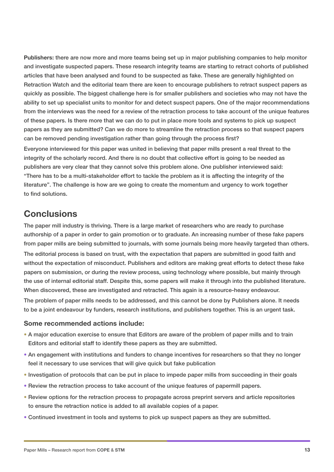<span id="page-12-0"></span>Publishers: there are now more and more teams being set up in major publishing companies to help monitor and investigate suspected papers. These research integrity teams are starting to retract cohorts of published articles that have been analysed and found to be suspected as fake. These are generally highlighted on Retraction Watch and the editorial team there are keen to encourage publishers to retract suspect papers as quickly as possible. The biggest challenge here is for smaller publishers and societies who may not have the ability to set up specialist units to monitor for and detect suspect papers. One of the major recommendations from the interviews was the need for a review of the retraction process to take account of the unique features of these papers. Is there more that we can do to put in place more tools and systems to pick up suspect papers as they are submitted? Can we do more to streamline the retraction process so that suspect papers can be removed pending investigation rather than going through the process first?

Everyone interviewed for this paper was united in believing that paper mills present a real threat to the integrity of the scholarly record. And there is no doubt that collective effort is going to be needed as publishers are very clear that they cannot solve this problem alone. One publisher interviewed said: "There has to be a multi-stakeholder effort to tackle the problem as it is affecting the integrity of the literature". The challenge is how are we going to create the momentum and urgency to work together to find solutions.

#### **Conclusions**

The paper mill industry is thriving. There is a large market of researchers who are ready to purchase authorship of a paper in order to gain promotion or to graduate. An increasing number of these fake papers from paper mills are being submitted to journals, with some journals being more heavily targeted than others. The editorial process is based on trust, with the expectation that papers are submitted in good faith and

without the expectation of misconduct. Publishers and editors are making great efforts to detect these fake papers on submission, or during the review process, using technology where possible, but mainly through the use of internal editorial staff. Despite this, some papers will make it through into the published literature. When discovered, these are investigated and retracted. This again is a resource-heavy endeavour.

The problem of paper mills needs to be addressed, and this cannot be done by Publishers alone. It needs to be a joint endeavour by funders, research institutions, and publishers together. This is an urgent task.

#### Some recommended actions include:

- A major education exercise to ensure that Editors are aware of the problem of paper mills and to train Editors and editorial staff to identify these papers as they are submitted.
- An engagement with institutions and funders to change incentives for researchers so that they no longer feel it necessary to use services that will give quick but fake publication
- Investigation of protocols that can be put in place to impede paper mills from succeeding in their goals
- Review the retraction process to take account of the unique features of papermill papers.
- Review options for the retraction process to propagate across preprint servers and article repositories to ensure the retraction notice is added to all available copies of a paper.
- Continued investment in tools and systems to pick up suspect papers as they are submitted.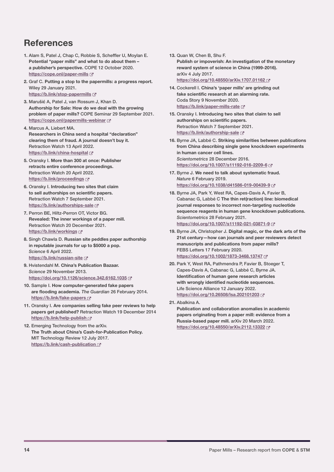## <span id="page-13-0"></span>**References**

- 1. Alam S, Patel J, Chap C, Robbie S, Scheffler U, Moylan E. Potential "paper mills" and what to do about them – a publisher's perspective. COPE 12 October 2020. <https://cope.onl/paper-mills>
- 2. Graf C. Putting a stop to the papermills: a progress report. Wiley 29 January 2021. <https://b.link/stop-papermills>
- 3. Maruši**ć** A, Patel J, van Rossum J, Khan D. Authorship for Sale: How do we deal with the growing problem of paper mills? COPE Seminar 29 September 2021. <https://cope.onl/papermills-webinar>
- 4. Marcus A, Liebert MA. Researchers in China send a hospital "declaration" clearing them of fraud. A journal doesn't buy it. Retraction Watch 13 April 2022. <https://b.link/china-hospital>
- 5. Oransky I. More than 300 at once: Publisher retracts entire conference proceedings. Retraction Watch 20 April 2022. <https://b.link/proceedings> &
- 6. Oransky I. Introducing two sites that claim to sell authorships on scientific papers. Retraction Watch 7 September 2021. <https://b.link/authorships-sale>
- 7. Perron BE, Hiltz-Perron OT, Victor BG. Revealed: The inner workings of a paper mill. Retraction Watch 20 December 2021. <https://b.link/workings>
- 8. Singh Chawla D. Russian site peddles paper authorship in reputable journals for up to \$5000 a pop. *Science* 6 April 2022. <https://b.link/russian-site>
- 9. Hvistendahl M. China's Publication Bazaar. *Science* 29 November 2013. <https://doi.org/10.1126/science.342.6162.1035>
- 10. Sample I. How computer-generated fake papers are flooding academia. *The Guardian* 26 February 2014. <https://b.link/fake-papers>
- 11. Oransky I. Are companies selling fake peer reviews to help papers get published? Retraction Watch 19 December 2014 <https://b.link/help-publish>
- 12. Emerging Technology from the arXiv. The Truth about China's Cash-for-Publication Policy. MIT Technology Review 12 July 2017. <https://b.link/cash-publication>
- 13. Quan W, Chen B, Shu F. Publish or impoverish: An investigation of the monetary reward system of science in China (1999-2016). arXiv 4 July 2017. <https://doi.org/10.48550/arXiv.1707.01162>
- 14. Cockerell I. China's 'paper mills' are grinding out fake scientific research at an alarming rate. Coda Story 9 November 2020. <https://b.link/paper-mills-rate> &
- 15. Oransky I. Introducing two sites that claim to sell authorships on scientific papers. Retraction Watch 7 September 2021. <https://b.link/authorship-sale>
- 16. Byrne JA, Labbé C. Striking similarities between publications from China describing single gene knockdown experiments in human cancer cell lines. *Scientometrics* 28 December 2016. <https://doi.org/10.1007/s11192-016-2209-6>
- 17. Byrne J. We need to talk about systematic fraud. *Nature* 6 February 2019. <https://doi.org/10.1038/d41586-019-00439-9>
- 18. Byrne JA, Park Y, West RA, Capes-Davis A, Favier B, Cabanac G, Labbé C The thin ret(raction) line: biomedical journal responses to incorrect non-targeting nucleotide sequence reagents in human gene knockdown publications. *Scientometrics* 28 February 2021. <https://doi.org/10.1007/s11192-021-03871-9>
- 19. Byrne JA, Christopher J. Digital magic, or the dark arts of the 21st century—how can journals and peer reviewers detect manuscripts and publications from paper mills? FEBS Letters 17 February 2020. <https://doi.org/10.1002/1873-3468.13747>
- 20. Park Y, West RA, Pathmendra P, Favier B, Stoeger T, Capes-Davis A, Cabanac G, Labbé C, Byrne JA. Identification of human gene research articles with wrongly identified nucleotide sequences. Life Science Alliance 12 January 2022. <https://doi.org/10.26508/lsa.202101203>
- 21. Abalkina A.

Publication and collaboration anomalies in academic papers originating from a paper mill: evidence from a Russia-based paper mill. arXiv 20 March 2022. <https://doi.org/10.48550/arXiv.2112.13322>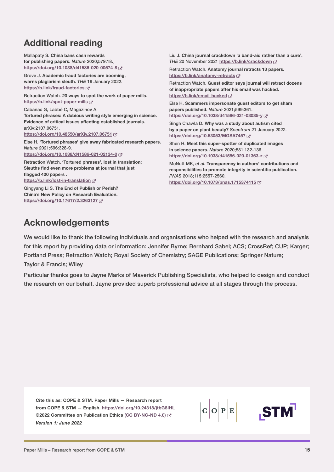## <span id="page-14-0"></span>Additional reading

Mallapaty S. China bans cash rewards for publishing papers. *Nature* 2020;579:18. [https://doi.org/10.1038/d41586-020-00574-8](https://doi.org/10.1038/d41586-020-00574-8 ) Grove J. Academic fraud factories are booming, warns plagiarism sleuth. *THE* 19 January 2022. <https://b.link/fraud-factories> Retraction Watch. 20 ways to spot the work of paper mills. <https://b.link/spot-paper-mills>  $C$ Cabanac G, Labbé C, Magazinov A. Tortured phrases: A dubious writing style emerging in science. Evidence of critical issues affecting established journals. arXiv:2107.06751. <https://doi.org/10.48550/arXiv.2107.06751> Else H. 'Tortured phrases' give away fabricated research papers. *Nature* 2021;596:328-9. <https://doi.org/10.1038/d41586-021-02134-0> Retraction Watch. 'Tortured phrases', lost in translation: Sleuths find even more problems at journal that just flagged 400 papers. <https://b.link/lost-in-translation> Qingyang Li S. The End of Publish or Perish? China's New Policy on Research Evaluation. <https://doi.org/10.17617/2.3263127> Liu J. China journal crackdown 'a band-aid rather than a cure'. *THE* 20 November 2021 <https://b.link/crackdown> Retraction Watch. Anatomy journal retracts 13 papers. <https://b.link/anatomy-retracts> Retraction Watch. Guest editor says journal will retract dozens of inappropriate papers after his email was hacked. <https://b.link/email-hacked> Else H. Scammers impersonate guest editors to get sham papers published. *Nature* 2021;599:361. <https://doi.org/10.1038/d41586-021-03035-y> & Singh Chawla D. Why was a study about autism cited by a paper on plant beauty? *Spectrum* 21 January 2022. <https://doi.org/10.53053/MGSA7457> Shen H. Meet this super-spotter of duplicated images in science papers. *Nature* 2020;581:132-136. <https://doi.org/10.1038/d41586-020-01363-z> McNutt MK, *et al.* Transparency in authors' contributions and responsibilities to promote integrity in scientific publication. *PNAS* 2018;115:2557-2560. <https://doi.org/10.1073/pnas.1715374115>

### Acknowledgements

We would like to thank the following individuals and organisations who helped with the research and analysis for this report by providing data or information: Jennifer Byrne; Bernhard Sabel; ACS; CrossRef; CUP; Karger; Portland Press; Retraction Watch; Royal Society of Chemistry; SAGE Publications; Springer Nature;

#### Taylor & Francis; Wiley

Particular thanks goes to Jayne Marks of Maverick Publishing Specialists, who helped to design and conduct the research on our behalf. Jayne provided superb professional advice at all stages through the process.

Cite this as: COPE & STM. Paper Mills — Research report from COPE & STM — English. <https://doi.org/10.24318/jtbG8IHL> ©2022 Committee on Publication Ethics [\(CC BY-NC-ND 4.0](https://creativecommons.org/licenses/by-nc-nd/4.0/)) *Version 1: June 2022*